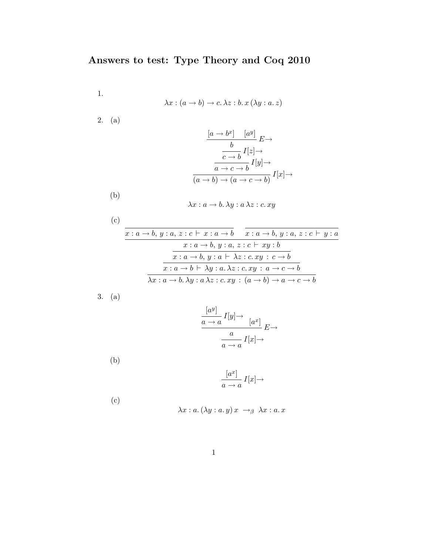1.

$$
\lambda x : (a \to b) \to c. \, \lambda z : b. \, x \, (\lambda y : a. \, z)
$$

2. (a)

$$
\frac{[a \to b^x] \quad [a^y]}{b} \to
$$

$$
\frac{b}{c \to b} I[z] \to
$$

$$
\frac{a \to c \to b}{(a \to b) \to (a \to c \to b)} I[x] \to
$$

(b)

$$
\lambda x : a \to b. \, \lambda y : a \, \lambda z : c. \, xy
$$

(c)  

$$
\frac{x: a \rightarrow b, y: a, z: c \vdash x: a \rightarrow b \quad x: a \rightarrow b, y: a, z: c \vdash y: a \quad x: a \rightarrow b, y: a, z: c \vdash xy: b
$$

$$
\frac{x: a \rightarrow b, y: a \vdash \lambda z: c. xy: c \rightarrow b}{x: a \rightarrow b \vdash \lambda y: a. \lambda z: c. xy: a \rightarrow c \rightarrow b}
$$

$$
\lambda x: a \rightarrow b. \lambda y: a \lambda z: c. xy: (a \rightarrow b) \rightarrow a \rightarrow c \rightarrow b
$$

3. (a)

$$
\frac{[a^y]}{a \to a} I[y] \to [a^x] \xrightarrow{a} E \to
$$

$$
\frac{a}{a \to a} I[x] \to
$$

(b)

$$
\frac{[a^x]}{a \to a} I[x] \to
$$

(c)

$$
\lambda x : a. (\lambda y : a. y) x \rightarrow_{\beta} \lambda x : a. x
$$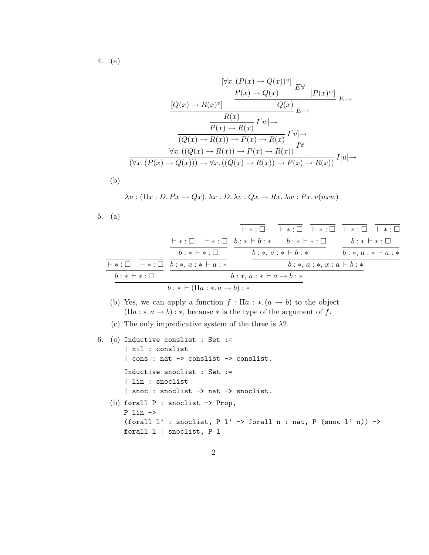4. (a)

$$
\frac{[\forall x. (P(x) \to Q(x))^u]}{P(x) \to Q(x)} E^{\forall} [P(x)^w] E^{\forall}
$$
  
\n
$$
\frac{[Q(x) \to R(x)^v]}{P(x) \to R(x)} I[w] \to
$$
  
\n
$$
\frac{R(x)}{P(x) \to R(x)} I[v] \to
$$
  
\n
$$
\frac{[Q(x) \to R(x))^u}{\forall x. ((Q(x) \to R(x)) \to P(x) \to R(x))} I^{\forall}
$$
  
\n
$$
\frac{[\forall x. (P(x) \to R(x))^u]}{(\forall x. (P(x) \to Q(x))) \to \forall x. ((Q(x) \to R(x)) \to P(x) \to R(x))} I[u] \to
$$

(b)

$$
\lambda u : (\Pi x : D. Px \to Qx). \lambda x : D. \lambda v : Qx \to Rx. \lambda w : Px. v(uxw)
$$

5. (a)

|                         |                                                   |  |                                                                                                                                   | ├∗:□ ├∗:□ ├∗:□ ├∗:□ ├∗:□       |
|-------------------------|---------------------------------------------------|--|-----------------------------------------------------------------------------------------------------------------------------------|--------------------------------|
|                         |                                                   |  | $\vdash *:\square \quad \vdash *:\square \quad b: * \vdash b: * \qquad b: * \vdash *:\square \qquad \qquad b: * \vdash *:\square$ |                                |
|                         | $b: * \vdash * : \Box$                            |  | $b:*, a: * \vdash b: *$                                                                                                           | $b:\ast, a:\ast \vdash a:\ast$ |
|                         | $\vdash *:\Box\vdash *:\Box\; b:*, a:*\vdash a:*$ |  | $b:*, a:*, x: a \vdash b: *$                                                                                                      |                                |
| $b : * \vdash * : \Box$ | $b:\ast, a:\ast \vdash a\rightarrow b:\ast$       |  |                                                                                                                                   |                                |
|                         | $b: * \vdash (\Pi a: * a \rightarrow b): *$       |  |                                                                                                                                   |                                |

- (b) Yes, we can apply a function  $f : \Pi a : * (a \to b)$  to the object  $(\Pi a : * a \rightarrow b) : *$ , because  $*$  is the type of the argument of f.
- (c) The only impredicative system of the three is  $\lambda$ 2.

```
6. (a) Inductive conslist : Set :=
   | nil : conslist
   | cons : nat -> conslist -> conslist.
   Inductive snoclist : Set :=
   | lin : snoclist
   | snoc : snoclist -> nat -> snoclist.
(b) forall P : snoclist -> Prop,
   P lin ->
   (forall l' : snoclist, P l' -> forall n : nat, P (snoc l' n)) ->
   forall l : snoclist, P l
```